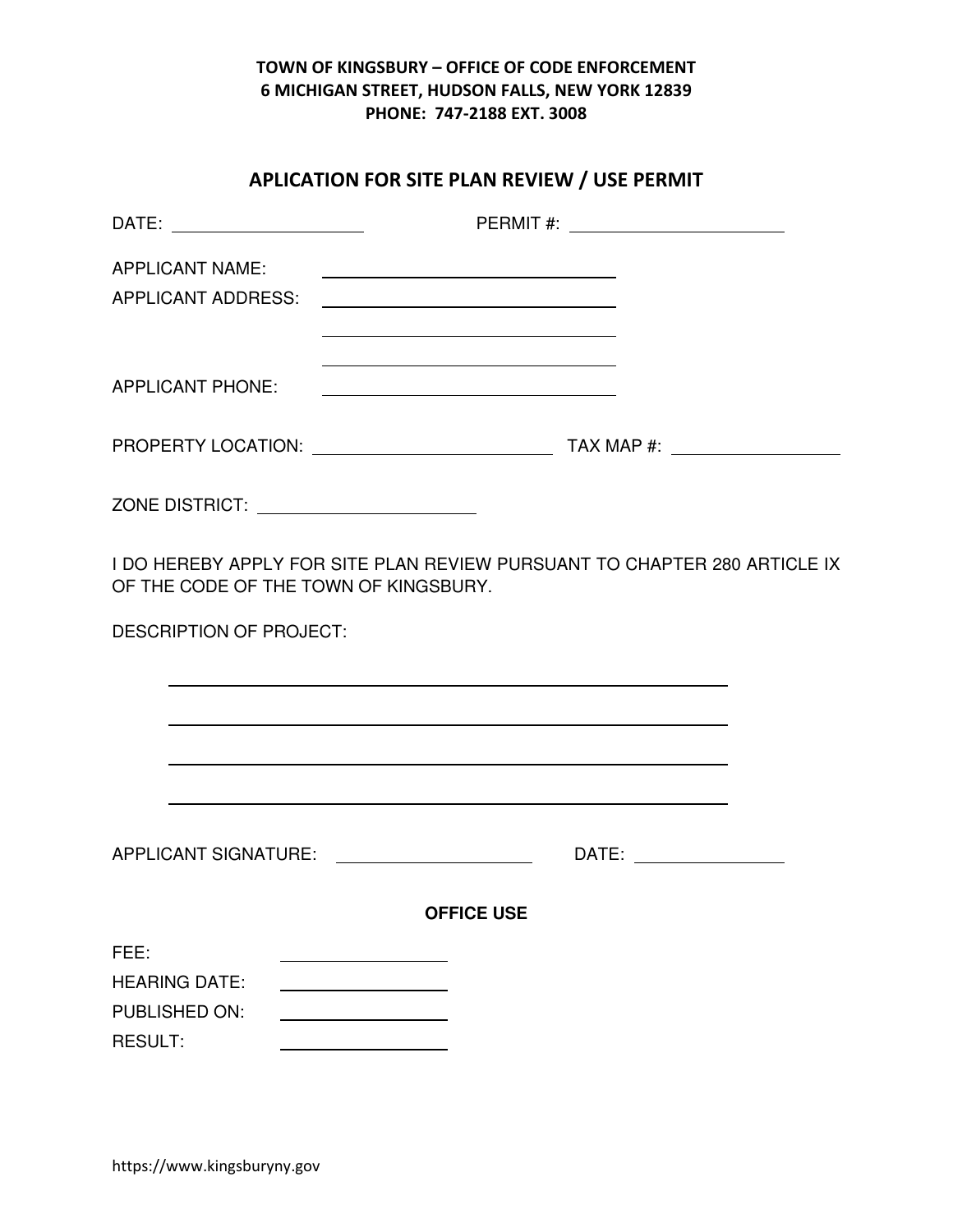# APLICATION FOR SITE PLAN REVIEW / USE PERMIT

| DATE: ________________________        |                                                                  |                                                                                                                       |  |
|---------------------------------------|------------------------------------------------------------------|-----------------------------------------------------------------------------------------------------------------------|--|
| <b>APPLICANT NAME:</b>                |                                                                  |                                                                                                                       |  |
| APPLICANT ADDRESS:                    | <u> 1980 - Johann Stoff, fransk politik (d. 1980)</u>            |                                                                                                                       |  |
|                                       |                                                                  |                                                                                                                       |  |
| <b>APPLICANT PHONE:</b>               | <u> 2000 - Jan James James Barnett, fransk politik (d. 1882)</u> |                                                                                                                       |  |
|                                       |                                                                  |                                                                                                                       |  |
|                                       | ZONE DISTRICT: _______________________                           |                                                                                                                       |  |
|                                       | OF THE CODE OF THE TOWN OF KINGSBURY.                            | I DO HEREBY APPLY FOR SITE PLAN REVIEW PURSUANT TO CHAPTER 280 ARTICLE IX                                             |  |
| <b>DESCRIPTION OF PROJECT:</b>        |                                                                  |                                                                                                                       |  |
|                                       |                                                                  |                                                                                                                       |  |
|                                       |                                                                  | <u> 1980 - Jan Samuel Barbara, margaret a shekara tsara na shekara tsa na shekara tsa na shekara tsa na shekara t</u> |  |
|                                       |                                                                  |                                                                                                                       |  |
|                                       |                                                                  | <u> 1989 - Jan Samuel Barbara, margaret eta biztanleria (h. 1989).</u>                                                |  |
|                                       |                                                                  | DATE: _________________                                                                                               |  |
|                                       | <b>OFFICE USE</b>                                                |                                                                                                                       |  |
| FEE:                                  |                                                                  |                                                                                                                       |  |
| <b>HEARING DATE:</b><br>PUBLISHED ON: |                                                                  |                                                                                                                       |  |
| RESULT:                               |                                                                  |                                                                                                                       |  |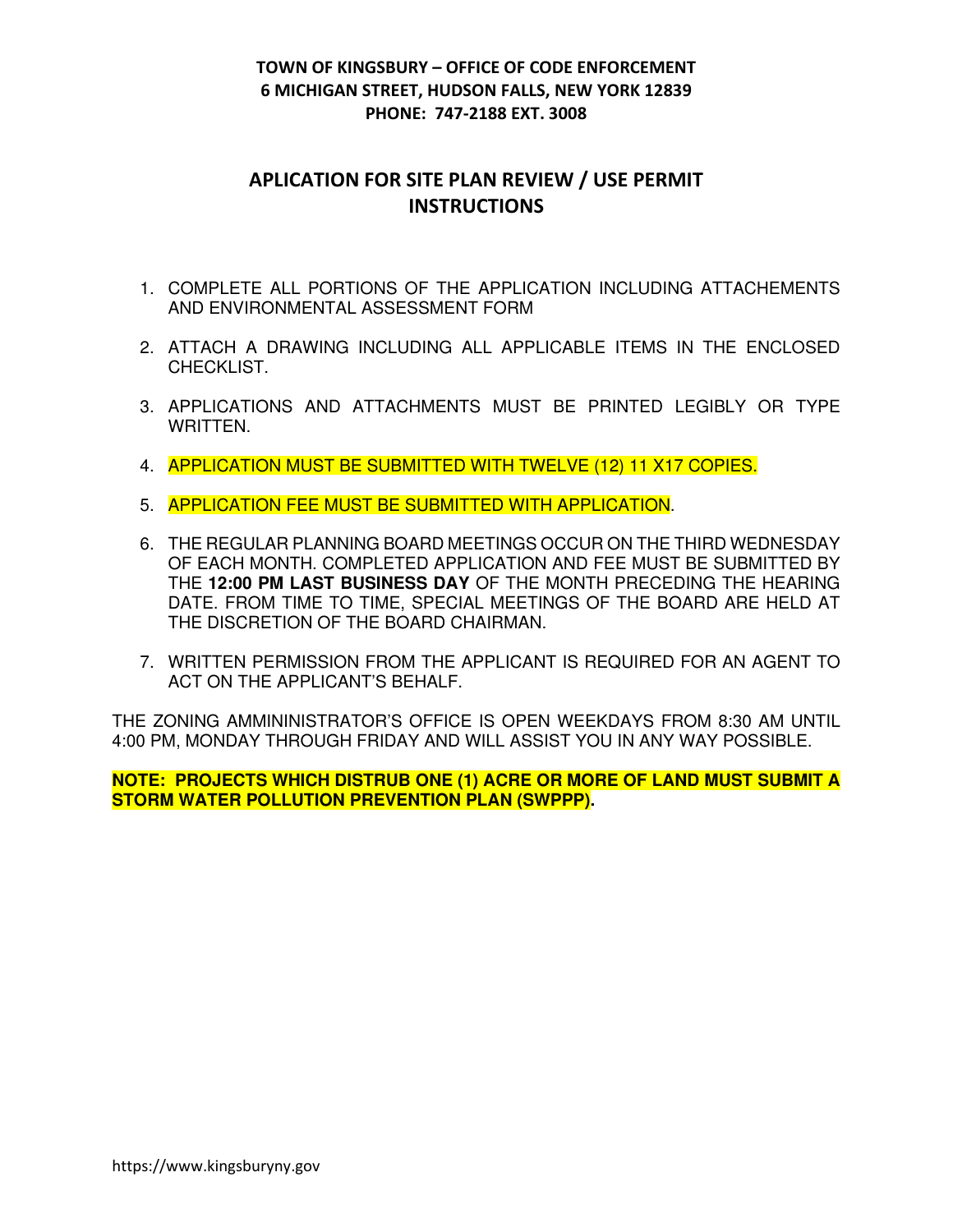# APLICATION FOR SITE PLAN REVIEW / USE PERMIT **INSTRUCTIONS**

- 1. COMPLETE ALL PORTIONS OF THE APPLICATION INCLUDING ATTACHEMENTS AND ENVIRONMENTAL ASSESSMENT FORM
- 2. ATTACH A DRAWING INCLUDING ALL APPLICABLE ITEMS IN THE ENCLOSED CHECKLIST.
- 3. APPLICATIONS AND ATTACHMENTS MUST BE PRINTED LEGIBLY OR TYPE WRITTEN.
- 4. APPLICATION MUST BE SUBMITTED WITH TWELVE (12) 11 X17 COPIES.
- 5. APPLICATION FEE MUST BE SUBMITTED WITH APPLICATION.
- 6. THE REGULAR PLANNING BOARD MEETINGS OCCUR ON THE THIRD WEDNESDAY OF EACH MONTH. COMPLETED APPLICATION AND FEE MUST BE SUBMITTED BY THE **12:00 PM LAST BUSINESS DAY** OF THE MONTH PRECEDING THE HEARING DATE. FROM TIME TO TIME, SPECIAL MEETINGS OF THE BOARD ARE HELD AT THE DISCRETION OF THE BOARD CHAIRMAN.
- 7. WRITTEN PERMISSION FROM THE APPLICANT IS REQUIRED FOR AN AGENT TO ACT ON THE APPLICANT'S BEHALF.

THE ZONING AMMININISTRATOR'S OFFICE IS OPEN WEEKDAYS FROM 8:30 AM UNTIL 4:00 PM, MONDAY THROUGH FRIDAY AND WILL ASSIST YOU IN ANY WAY POSSIBLE.

**NOTE: PROJECTS WHICH DISTRUB ONE (1) ACRE OR MORE OF LAND MUST SUBMIT A STORM WATER POLLUTION PREVENTION PLAN (SWPPP).**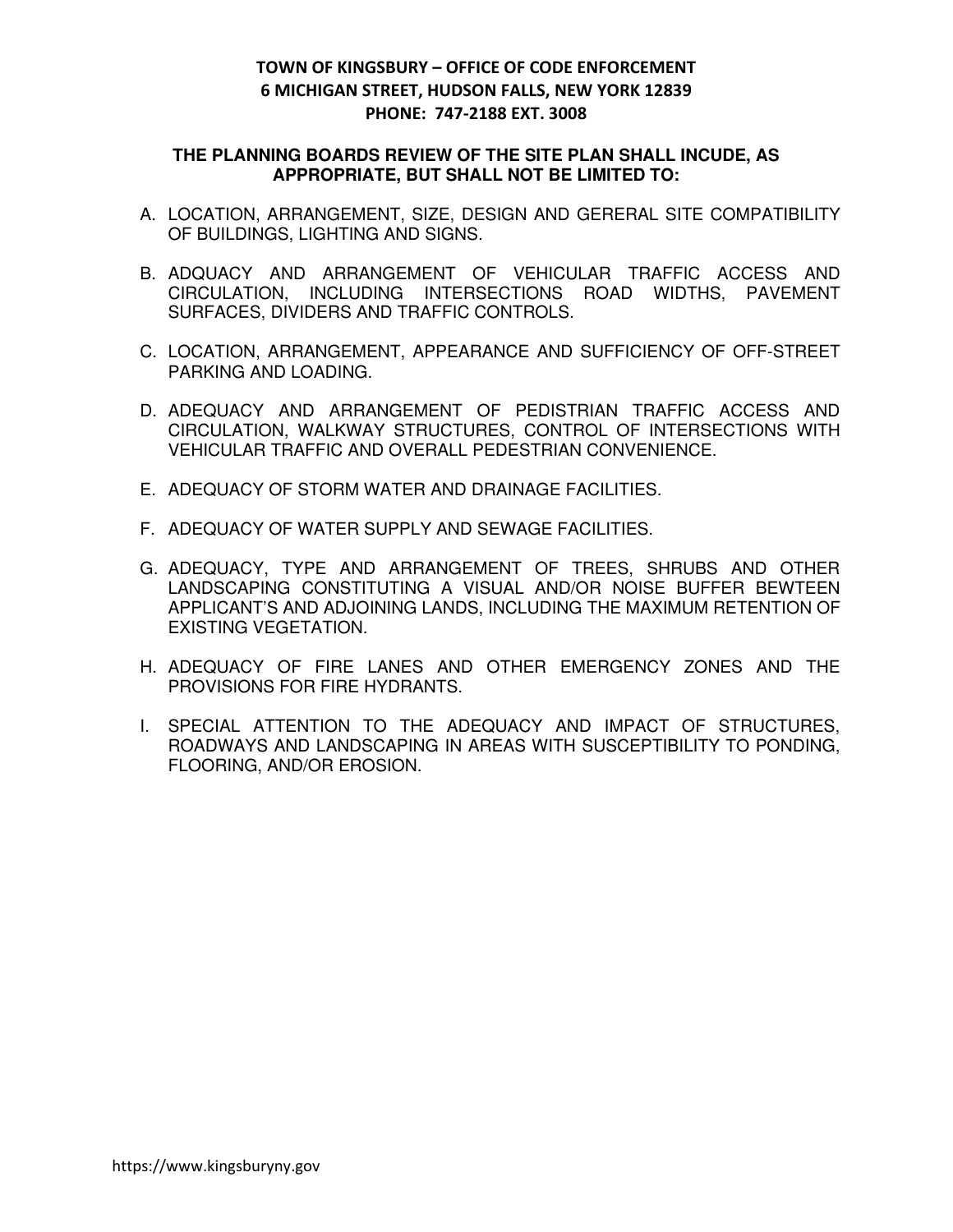#### **THE PLANNING BOARDS REVIEW OF THE SITE PLAN SHALL INCUDE, AS APPROPRIATE, BUT SHALL NOT BE LIMITED TO:**

- A. LOCATION, ARRANGEMENT, SIZE, DESIGN AND GERERAL SITE COMPATIBILITY OF BUILDINGS, LIGHTING AND SIGNS.
- B. ADQUACY AND ARRANGEMENT OF VEHICULAR TRAFFIC ACCESS AND CIRCULATION, INCLUDING INTERSECTIONS ROAD WIDTHS, PAVEMENT SURFACES, DIVIDERS AND TRAFFIC CONTROLS.
- C. LOCATION, ARRANGEMENT, APPEARANCE AND SUFFICIENCY OF OFF-STREET PARKING AND LOADING.
- D. ADEQUACY AND ARRANGEMENT OF PEDISTRIAN TRAFFIC ACCESS AND CIRCULATION, WALKWAY STRUCTURES, CONTROL OF INTERSECTIONS WITH VEHICULAR TRAFFIC AND OVERALL PEDESTRIAN CONVENIENCE.
- E. ADEQUACY OF STORM WATER AND DRAINAGE FACILITIES.
- F. ADEQUACY OF WATER SUPPLY AND SEWAGE FACILITIES.
- G. ADEQUACY, TYPE AND ARRANGEMENT OF TREES, SHRUBS AND OTHER LANDSCAPING CONSTITUTING A VISUAL AND/OR NOISE BUFFER BEWTEEN APPLICANT'S AND ADJOINING LANDS, INCLUDING THE MAXIMUM RETENTION OF EXISTING VEGETATION.
- H. ADEQUACY OF FIRE LANES AND OTHER EMERGENCY ZONES AND THE PROVISIONS FOR FIRE HYDRANTS.
- I. SPECIAL ATTENTION TO THE ADEQUACY AND IMPACT OF STRUCTURES, ROADWAYS AND LANDSCAPING IN AREAS WITH SUSCEPTIBILITY TO PONDING, FLOORING, AND/OR EROSION.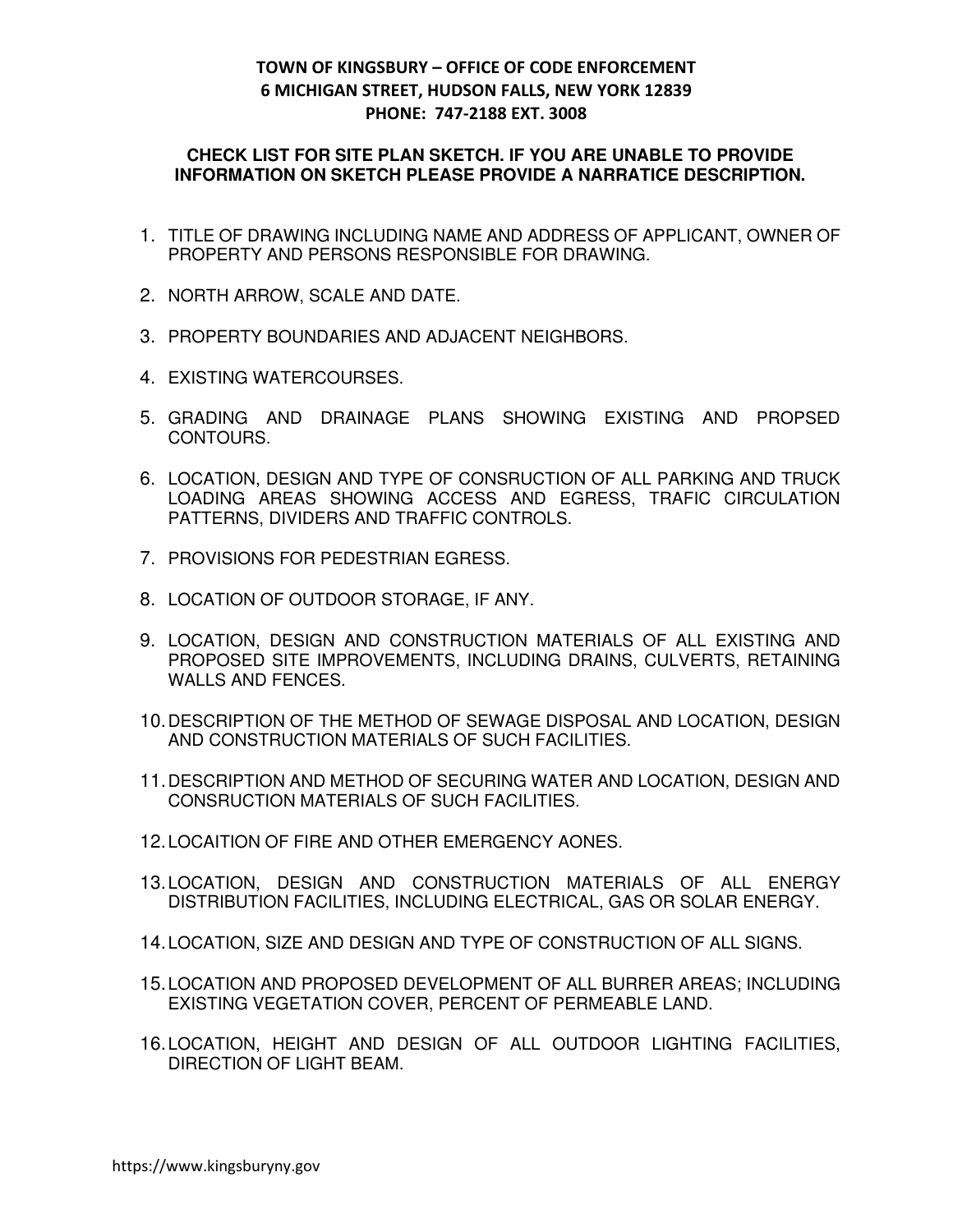#### **CHECK LIST FOR SITE PLAN SKETCH. IF YOU ARE UNABLE TO PROVIDE INFORMATION ON SKETCH PLEASE PROVIDE A NARRATICE DESCRIPTION.**

- 1. TITLE OF DRAWING INCLUDING NAME AND ADDRESS OF APPLICANT, OWNER OF PROPERTY AND PERSONS RESPONSIBLE FOR DRAWING.
- 2. NORTH ARROW, SCALE AND DATE.
- 3. PROPERTY BOUNDARIES AND ADJACENT NEIGHBORS.
- 4. EXISTING WATERCOURSES.
- 5. GRADING AND DRAINAGE PLANS SHOWING EXISTING AND PROPSED CONTOURS.
- 6. LOCATION, DESIGN AND TYPE OF CONSRUCTION OF ALL PARKING AND TRUCK LOADING AREAS SHOWING ACCESS AND EGRESS, TRAFIC CIRCULATION PATTERNS, DIVIDERS AND TRAFFIC CONTROLS.
- 7. PROVISIONS FOR PEDESTRIAN EGRESS.
- 8. LOCATION OF OUTDOOR STORAGE, IF ANY.
- 9. LOCATION, DESIGN AND CONSTRUCTION MATERIALS OF ALL EXISTING AND PROPOSED SITE IMPROVEMENTS, INCLUDING DRAINS, CULVERTS, RETAINING WALLS AND FENCES.
- 10. DESCRIPTION OF THE METHOD OF SEWAGE DISPOSAL AND LOCATION, DESIGN AND CONSTRUCTION MATERIALS OF SUCH FACILITIES.
- 11. DESCRIPTION AND METHOD OF SECURING WATER AND LOCATION, DESIGN AND CONSRUCTION MATERIALS OF SUCH FACILITIES.
- 12. LOCAITION OF FIRE AND OTHER EMERGENCY AONES.
- 13. LOCATION, DESIGN AND CONSTRUCTION MATERIALS OF ALL ENERGY DISTRIBUTION FACILITIES, INCLUDING ELECTRICAL, GAS OR SOLAR ENERGY.
- 14. LOCATION, SIZE AND DESIGN AND TYPE OF CONSTRUCTION OF ALL SIGNS.
- 15. LOCATION AND PROPOSED DEVELOPMENT OF ALL BURRER AREAS; INCLUDING EXISTING VEGETATION COVER, PERCENT OF PERMEABLE LAND.
- 16. LOCATION, HEIGHT AND DESIGN OF ALL OUTDOOR LIGHTING FACILITIES, DIRECTION OF LIGHT BEAM.